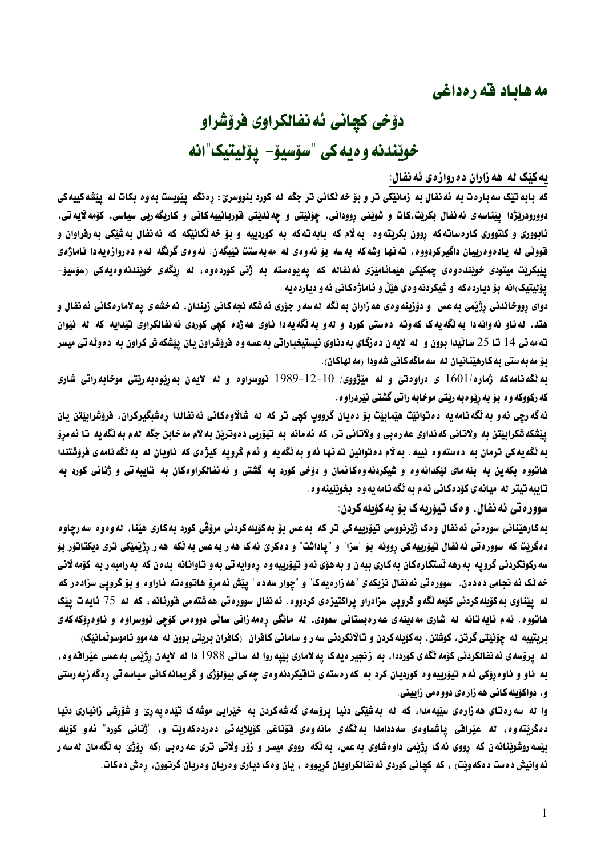# مه هاباد قه رهداغی

# دۆخي كچاني ئه نفالكراوي فرۆشراو خويندنه و ه يه کي "سۆسيۆ– يۆليتيک"انه

#### يه کيک له هه زاران د ه روازهي ئه نفال:

که بابه تیک سه بارهت به نه نفال به زمانیکی تر و بو خه نکانی تر جگه له کورد بنووسریّ؛ رهنگه ییویست به وه بکات له ییشهکییهکی دوورودرێژدا ییناسه ی ئه نفال بکریت،کات و شوینی روودانی، چوَنیتی و چه ندیتی فوربانییهکانی و کاریگه ریی سیاسی، کوّمه لایه تی، ئابووري و کلتووري کارهساته که روون بکريته وه. به لام که بابه ته که به کوردييه و بوّ خه لکانيکه که ئه نفال به شيکي به رفراوان و قوونی له یادهوه رییان داگیرکردووه، ته نها وشه که به سه بو نه ووی له مه به ستت تیبگهن. نه وهی گرنگه لهم ده روازه به دا ناماژهی ييْبكريْت ميتودي خويْندەوەي چمكيْكي هيْمائاميْزي ئەنفالە كە يەيوەستە بە ژنی كوردەوە. لە ريْگەي خويْندنەوەيەكى (سۆسيۆ– يۆليتيک)انه بۆ دياردەكە و شيكردنه وەي هێڵ و ئاماژەكانى ئەو دياردەيە .

دوای رووخاندنی رژیمی به عس و دوّزبنه و دی هه زاران به نگه ً له سه ر جوّری ئه شکه نجه کانی زبندان، نه خشه ی یه لاماره کانی ئه نفال و هتد. نه ناو ئه وانه دا به نگه به ک که وته دهستی کورد و نه و به نگه به دا ناوی هه ژده کچی کوردی ئه نفانکراوی تیدایه که نه نیوان ته مه نی 14 تا 25 سانیدا بوون و نه لایه ن ده زگای به دناوی ئیستیخباراتی به عسه وه فروشراون پان پیشکه ش کراون به دهونّه تی میسر بوّ مه به ستی به کارهیّنانیان له ٍ سه ماگه کانی شه ودا (مه لهاکان).

به نگه نامه که ژماره/1601 ی دراوهتیّ و له میّژووی/ 10–12-1989 نووسراوه و له لایهن به ریوهبه ریتی موخابه راتی شاری که رکووکه و د بۆ به ربوه به ربتی موخابه راتی گشتی نیردراوه .

ئه گه رچی ئه و به نگه نامه یه ده توانیّت هیّمابیّت بوّ ده یان گرووپ کچی تر که له شالاّوهکانی ئه نفالدا رهشبگیرکران، فروّشرابیّتن یان ييشكه شكرابيّتن به ولاتاني كه نداوي عه ره بي و ولاتاني تر، كه نه مانه به تيوّربي ده وتريّن به لام مه خابن جگه لهم به نگه يه تا نه مروّ به نگه يه کي ترمان به دهسته وه نييه . به لام ده توانين ته نها ئه و به نگه يه و ئه م گرويه کيژهي که ناويان له به نگه نامهي فروشتندا هاتووه بکهین به بنه مای لیکدانه وه و شیکردنه وهکانمان و دوّخی کورد به گشتی و نه نفالکراوهکان به تایبه تی و ژنانی کورد به تايبه تيتر له ميانه ي كۆدەكانى ئه م به نگه نامه يه و م يخوينينه و ه .

سووره تي ئه نفال، وهڪ تيوّربه ک بوّ به کوّيله کردن:

ىەكارهێئانى سورەتى ئەنفال وەك ژێرنووسى تيۆرييەكى تر كە بەعس بۆ بەكۆيلەكردنى مرۆقى كورد بەكارى ھێنا، لەوەوە سەرچاوە دهگرنت که سوورهتی ئه نفال تیۆرییه کی روونه بۆ "سزا" و "یاداشت" و دهکریّ نهک هه ر به عس به لّکه هه ر رِژْیْمیْکی تری دیکتاتۆر بۆ سه رکونکردنی گرویه به رهه نستکارهکان به کاری بیه ن و به هوّی ئه و تیوّرییه و ه ره وایه تی به و تاوانانه بده ن که به رامیه ر به کوّمه لانی خه ٽک ئه نجامي دهدهن. سووره تي ئه نفال نزيکه ي "هه زاره په ک" و "چوار سه ده" پيش ئه مروّ هاتووه ته ئاراوه و بۆ گرويي سزاده ر که له ِ پيِّناوي به کوّيله کردني کوّمه لُگه و گرويي سزادراو پراکتيزهي کردووه. ئه نفال سووره تي هه شته مي قورئانه ، که له 75 ئايه ت ِ پيّک هاتووه. ئهم ئايه تانه له شاری مه دينه ی عه ره بستانی سعودی، له مانگی رهمه زانی ساٽی دووهمی کوّچی نووسراوه و ناوه روکه که ی بريتييه نه چۆنيتي گرتن، کوشتن، به کۆيله کردن و تالانکردني سه ر و ساماني کافران. (کافران بريتي بوون نه هه موو ناموسوٽمائيک).

له پروّسه ی ئه نفالکردنی کوّمه نگه ی کورددا ، به زنجیر دیه ک یه لاماری بیّیه روا له سانّی 1988 دا له لایه ن رژیمی به عسی عیّراقه وه ، به ناو و ناوهرۆکي ئهم تيۆرييه وه کورديان کرد به که رەستهي تاقيکردنه وهي چه کي بيۆلۆژي و گريمانه کاني سياسه تي رهگه زيه رستي و، دواکۆيله کاني هه زارهي دووهمي زاييني.

وا له سه٫دتای ههزارهی سِپیهمدا، که له بهشیکی دنیا پروّسهی گهشهکردن به خیّرایی موشهک تیّده یه٫یّ و شوّرشی زانیاری دنیا دەگریتەوە، ئە عیراقی یاشماوەی سەددامدا بەئگەی مانەوەی قۆناغی کۆیلایەتی دەردەكەویت و، "ژنانی کورد" ئەو كۆیلە بِيّسه روشوٽِئانه ن که رووي نه ک رژيمي داوەشاوي به عس، به ٽکه رووي ميسر و رۆر ولاتي تري عه رەبي (که رۆژێ به ٽگه مان نه سه ر ئه وانیش دهست دهکه ویت) ، که کچانی کوردی ئه نفالکراویان کریووه ، پان وهک دیاری و ه ریان و ه ریان گرتوون، رهش دهکات.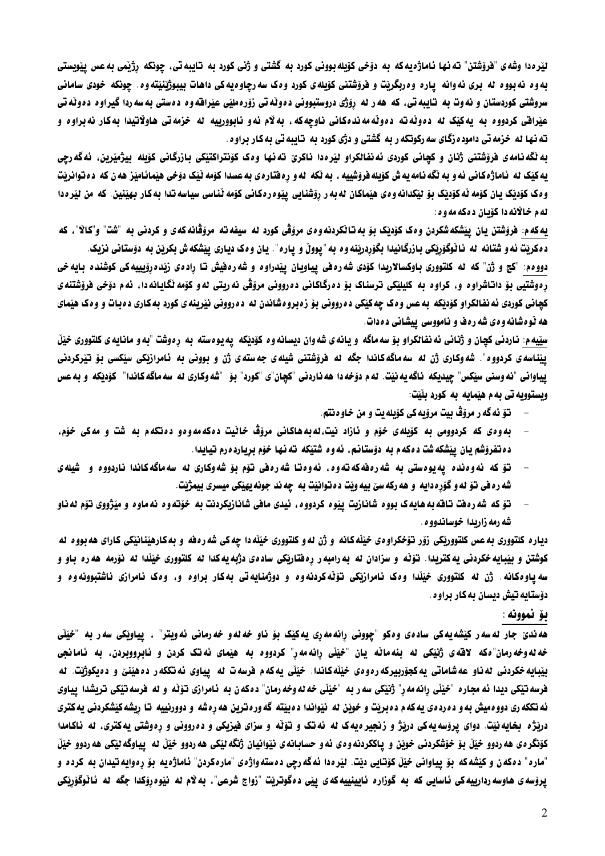لیّرهدا وشهی "فروّشتن" ته نها ئاماژه په که به دوّخی کوّیله بوونی کورد به گشتی و ژنی کورد به تایبه تی، چونکه رژیمی به عس پیّویستی به وه نه بووه له بری نه وانه پاره وه ریگریت و فروشتنی کویله ی کورد و دک سه رچاوه یه کی داهات بیبوژینیته وه. چونکه خودی سامانی سروشتی کوردستان و نه وت به تایبه تی، که هه ر له رِوْژی دروستبوونی د هونّه تی زوّره ملیّی عیّراقه و ه دهستی به سه ردا گیراو ه د هونّه تی عێراقي کردووه به پهکێک له دهوڵهته دهوڵهمهندهکاني ناوچهکه. به∛م ئهو ئابوورييه له خزمهتي هاولاتيدا بهکار نهبراوه و ته نها له خزمه تی داموده زگای سه رکونکه ر به گشتی و دژی کورد به تابیه تی به کار براوه .

به نگه نامه ی فروشتنی ژنان و کچانی کوردی نه نفالکراو لیرهدا ناکری ته نها وهک کونتراکتیکی بازرگانی کوبله بیژمیرین، نهگه رچی يه كيّک له ناماژهکانی ئه و به نگه نامه يه ش کۆيله فرۆشييه ، به نکه ًله و رهفتارهی به عسدا کۆمه نَيّک دۆخی هيّمائاميّز هه ن که ده توانريّت وهک کۆدێک پان کۆمه ٽەکۆدێک بۆ ٹێکدانەوەی ھێماکان ٹەبەر رۆشنایی پێوەرەکانی کۆمە ٽناسی سیاسەتدا بەکار بهێنین. کە من ٹێرەدا له م خالانه دا کويان د ه که مه و ه :

يه كه م: فروّشتن يان ييشكه شكردن وهک كوّديّک بوّ به تائكردنه وه یمروّڤی كورد له سيفه ته مروّڤانه كه ی و كردنی به "شت" و"كالا"، كه دهکريّت نُه و شتانه له ئاٽوگۆريکی بازرگانيدا بگۆردريّنه وه به "پووڻ و پاره". يان وهک دياری پيّشکه ش بکريّن به دۆستانی نزيک.

دووم: "کچ و ژن" که له کلتووری باوکسالاریدا کۆدی شه رەفی ییاویان ییدراوه و شه رەفیش تا رادەی زیدەرۆیییەکی کوشنده بایه خی رهوشتیی بو داتاشراوه و، کراوه به کلیلیکی ترسناک بو دهرگاکانی دهروونی مروّڤی نه ربتی له و کوّمه نگایانه دا، ئهم دوّخی فروّشتنه ی کچاني کوردي ئه نفالکراو کۆديکه به عس وهک چه کيکي ده رووني بو زه بروه شاندن له ده رووني نيرينه ي کورد به کاري ده بات و وهک هيماي هه نو دشانه و دی شه ردف و نامووسی پیشانی د ددات.

سپیهم: ناردنی کچان و ژنانی ئه نفالکراو بو سه ماگه و یانه ی شه وان دیسانه وه کودیکه یه یوه سته به رهوشت "به و مانایه ی کلتووری خیِلْ ییناسه ی کردووه". شه وکاری ژن له سه ماگه کاندا جگه له فروشتنی شیله ی جه سته ی ژن و بوونی به نامراریکی سیکسی بو تیرکردنی يياواني "نه وسني سيّكس" چيديكه ناگه يه نيّت. له م دوّخه دا هه ناردني "كچان"ي "كورد" بوّ "شه وكاري له سه ماگه كاندا" كوّديكه و به عس ويستوويه تي به م هيمايه به كورد بِلَيْتَ:

- توْ ئه گه ر مروّڤ بيت مروّيه کي کوّيله يت و من خاو هنتم.
- بهودي كه كردوومي به كۆيلەي خۆم و ئازاد نيت،ئەبەھاكانى مرۆڤ خاٽيت دەكەمەودو دەنكەم بە شت و مەكى خۆم، ده تفروّشم يان ييّشكه شتّ دهكه م به دوّستانم، ئه وه شتيّكه ته نها خوّم بريارده رم تيايدا.
- تۆ كە ئەوەندە يەيوەستى بە شەرەڧەكەتەوە، ئەوەتا شەرەڧى تۆم بۆ شەوكارى ئە سەماگەكاندا ناردووە و شيلەي شه ره في توّ له و گوّره دايه و هه رکه سيّ بيه ويّت ده توانيّت به چه ند جونه يهيّکي ميسري بيمژيّت.
- تۆ كه شه رهفت تاقه به هايه ك بووه شانازيت ييوه كردووه، ئيدي مافي شانازيكردنت به خوّته وه نه ماوه و ميّژووي توّم له ناو شه رمه زاربدا خوساندوو ه .

دیاره کلتووری به عس کلتووریکی زوّر توْخکراوهی خیّله کانه و ژن له و کلتووری خیّله دا چه کی شه رهفه و به کارهیّنانیکی کارای هه بووه له کوشتن و بیبایه خکردنی یه کتریدا. تۆلّه و سزادان له به رامبه ر رهفتاریکی سادهی دژبه یه کدا له کلتووری خیّلدا له نۆرمه هه ره باو و سه یاوهکانه. ژن له کلتووری خیّلدا وهک نامرازبکی توّلهکردنهوه و دوژمنایه تی بهکار براوه و، وهک نامرازی ناشتبوونهوه و دۆستابه تېش دىسان بەكار براوە.

#### بۆ نموونە :

هه نديّ جار له سه رکيّشه په کي سادهي وه کو "چووني رانه مه ري په کيک بوّ ناو خه له و خه رماني ئه ويتر" ، پياويکي سه ر به "خيّلي خه له وخه رمان"ه که الاقه ی ژنیکی له بنه مانّه پان "خیّلی رانه مه ر" کردووه به هیّمای نه تک کردن و نابرووبردن، به نامانجی بيّبايه خكردني له ناو عه شاماتي يه كجوّربيركه رهوهي خيّلْه كاندا. خيّلّي يه كه م فرسه ت له پياوي ئه تككه ر ده هيّنئ و دهيكوژيّت. له فرسه تیکی دیدا ئه مجاره "خیّلی رانه مه ر" ژنیکی سه ر به "خیّلی خه له وخه رمان" دهکه ن به نامرازی توّله و له فرسه تیکی تریشدا ییاوی ئه تککه ري دووهميش به و ده رده ي په که م ده بريت و خوين له نيواندا ده بيته گه وره ترين هه ره شه و دوورنييه تا ريشه کيشکردني په کتري درێژه بخايهنيّت. دواي پرۆسه په کې درێژ و زنجپر ه په ک له نه تک و تۆڵه و سزاي فيزيکي و ده رووني و رهوشتي په کتري، له ئاکامدا کۆنگرەي ھەردوو خێڵ بۆ خۆشکردنى خوێن و ياککردنەوەي ئەو حسابانەي نێوانيان ژنگەلێکي ھەردوو خێڵ لە يياوگەلێکي ھەردوو خێڵ "ماره" دهکهن و کێشهکه بوّ پیاوانی خێڵ کوّتایی دیّت. لیّرهدا ئهگه رچی دهستهواژهی "مارهکردن" ئاماژهیه بوّ رهوایه تیدان به کرده و يرۆسەي ھاوسەردارييەكى ئاسايى كە بە گوزارە ئايينييەكەي يێى دەگوتريت "زواج شرعى"، بەلام ئە ئێوەرۆكدا جگە ئە ئاٽوگۆرێكى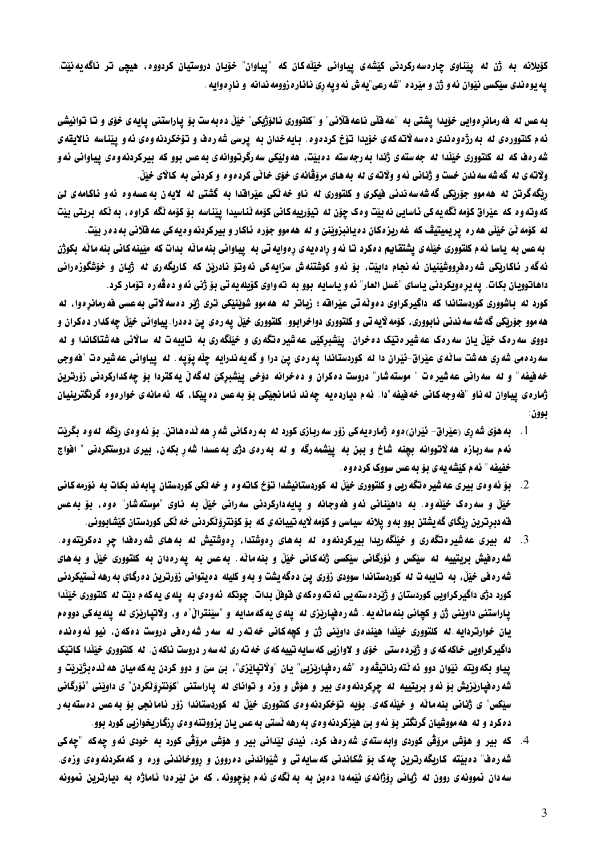کۆيلانه به ژن له ييناوي چارەسەرکردني کيشەي يياواني خيّلەکان که "يياوان" خۆيان دروستيان کردووه، هيچي تر ناگەيەنيت يه يو دندي سيكسي نيوان ئه و ژن و ميرده "شه رعي"يه ش ئه ويه ري نائاره زوومه ندانه و ناره وايه .

به عس له فه رمانر دوایی خوّیدا یشتی به "عه فلّی ناعه فلّانی" و "کلتووری نالوْژیکی" خیّلْ ده به ست بوّ پاراستنی پایه ی خوّی و تا توانیشی ئهم کلتووردی له به رژهودندی دهسه لاته که ی خوّیدا توّخ کردهوه. بایه خدان به پرسی شه رهف و توّخکردنه ودی ئه و پیّناسه نالایقه ی شه رهف که له کلتووری خیّلدا له جهستهی ژندا به رجهسته دهبیّت، ههولیّکی سه رگرتووانهی به عس بوو که بیرکردنه وهی پیاوانی ئه و ولاته ی له گه شه سه ندن خست و ژنانی ئه و ولاته ی له به های مروّڤانه ی خوّی خانی کرده و ه و کردنی به کالای خیّل

ریگهگرتن له هه موو جوّریکی گه شه سه ندنی فیکری و کلتووری له ناو خه لکی عیّرافدا به گشتی له لایهن به عسه وه نهو ناکامه ی لیّ كه وته وه كه عيّراق كۆمه نگه يه كي ئاسايي نه بيّت وه ك چۆن له تيۆرييه كاني كۆمه نّناسيدا ييّناسه بۆ كۆمه نگه كراوه ، به نّكه بريتي بيّت له کۆمه ٽئ خێٽي هه ره پريميتيڤ که غه ريزهکان ده پائبزوٽنئ و له هه موو جۆره ئاکار و بيرکردنه وه په کي عه فلائي به ده ر بيت.

به عس به ياسا ئهم كلتووري خيّلَه ي يشتقايم دهكرد تا ئه و راده يه ي ره وايه تي به يياواني بنه مائه بدات كه ميّينه كاني بنه مائه بكوژن ئهگه ر ئاکارتِکی شه رهفرووشینیان ئه نجام دابیت. بو ئه و کوشتنه ش سزایهکی ئه وتو نادرین که کاریگه ری له ژبان و خوشگوزه رانی داهاتوويان بكات. يه پر دويكردني ياساي "غسل العار" ئه و ياسايه بوو به ته واوي كۆيله يه تي بۆ ژني ئه و دمڤه ره تۆمار كرد.

کورد له باشووری کوردستاندا که داگیرکراوی دهونّه تی عیّرافته ؛ زیاتر له هه موو شویّنیکی تری ژیّر دهسه لاتی به عسی فه رمانرهوا، له هه موو چۆربکی گه شه سه ندنی نابووری، کۆمه لایه تی و کلتووری دواخرابوو. کلتووری خیّل په ره ی پیّ ده درا. پیاوانی خیّل چه کدار دهکران و دووی سه رهک خیّل یان سه رهک عه شیر متیّک ده خران. پیشبرکیّی عه شیر متگه ری و خیّلگه ری به تایبه ت نه سالانی هه شتاکاندا و نه سه ردهمی شه ری هه شت ساٽه ی عیّراق-ئیّران دا له کوردستاندا یه رهی ییّ درا و گه یه ندرایه چلّه یوّیه . له ییاوانی عه شیر ه ت "فه وجی خه فیفه " و له سه رانی عه شیر دت " موسته شار" دروست دهکران و ده خرانه دوّخی ییشبرِکیّ له گه لّ یه کتردا بوّ چه کدارکردنی زوّرترین ژمارهي پياوان له ناو "فه وجه كاني خه فيفه "دا. ئه م ديارده يه چه ند ئاما نجيّكي بوّ به عس ده پيكا، كه ئه مانهي خوارهوه گرنگترينيان يوون:

- 1. به هۆی شه ری (عیّراق- ئیّران) هو و ژماره یه کی رُوّر سه ربازی کورد له به رهکانی شه ر هه نّدههانن. بوّ ئه وهی ربّگه له وه بگریّت ئه م سه ربازه هه لاتووانه بچنه شاخ و ببن به ییشمه رگه و له به رهی دژی به عسدا شه ر بکه ن، بیری دروستکردنی " افواج خفيفه " ئه م کێشه په ی بو به عس سووک کرد ه و ه .
- 2. گېنو نه وه يا بيري عه شير ه تگه ريې و کلتووري خپّلْ له کوردستانيشدا توځ کاته وه و خه نکي کوردستان يابه ند بکات به نورمه کاني خیّل و سهرهک خیّلهوه. به داهیّنانی نُهو فهوجانه و پایهدارکردنی سهرانی خیّل به ناوی "موستهشار" موه، بوّ بهعس قه دبرترين ريگاي گه يشتن بوو به و يلانه سياسي و كۆمه لايه تييانه ي كه بۆ كۆنترۆٽكردني خه ٽكي كوردستان كێشابووني.
- 3. له بیری عهشیر دنگه ری و خیلگه ریدا بیرکردنه وه له به های رهوشتندا، رهوشتیش له به های شه رهفدا چر دهکریته وه شه ره فیش بریتییه نه سیکس و نوَرگانی سیکسی ژنهکانی خیّلْ و بنهمانّه. به عس به یه رهدان به کلتووری خیّلْ و به های شه ره في خيّلٌ، به تايبه ت له كوردستاندا سوودي زوّري ييّ دهگه يشت و به و كليله ده يتواني زوّرترين ده رگاي به رهه نستيكردني کورد دژی داگیرکراویی کوردستان و ژێردهسته یی نه ته وهکه ی فوفلّ بدات. چونکه نه وهی به یله ی یه که م دیت له کلتووری خیّلدا ياراستني داويّني ژن و کچاني بنه ماٽه يه . شه رهفپاريّزي له يله ي يه که مدايه و "سيّنترالْ" ه و، ولاتپاريّزي له يله يه کي دوو مم يان خوارتردايه له كلتووري خيّلْدا هيّندهي داويّني ژن و كچهكاني خه ته ر له سه ر شه ره في دروست دهكه ن، نيو ئه وهنده داگیرکراویی خاکه که ی و ژُیِّرده ستی خوّی و لاوازیی که سایه تپیه که ی خه ته ری له سه ر دروست ناکه ن. له کلتووری خیّلدا کانتیک يياو بكه ويّته نيّوان دوو ئه ٽته رناتيڤه وه "شه ره فيارٽِزيي" پاڻ "ولاتيايٽِزي"، بيّ سيّ و دوو كردن په كه ميان هه ٽده بِژيْريّت و شه ره فیاریّزیش بوّ ئه و بریتییه نه چرکردنه و ه و بیر و هوّش و وزه و توانای نه پاراستنی "کوّنتروّنّکردن" ی داویّنی "ئوّرگانی سيّکس" ی ژنانی بنه مانّه و خيّنّه که ی. بوّيه توْخکردنه وه یکلتووری خيّلٌ له کوردستاندا زوّر ئامانجی بوّ به عس دهسته به ر ده کرد و له هه مووشیان گرنگتر بو نه و بیّ هیّزکردنه و ه ی به رهه نستی به عس یان بزووتنه و ه ی رزگاریخوازیی کورد بوو
- 4. که بیر و هۆشی مرۆڤی کوردی وابه سته ی شه رهف کرد، ئیدی نیدانی بیر و هۆشی مرۆڤی کورد به خودی ئه و چهکه "چهکی شه رهف" دهبینته کاریگه رترین چهک بو شکاندنی که سایه تی و شیواندنی ده روون و رووخاندنی وره و که مکردنه وهی وزهی سه دان نموونه ي روون له ژباني روَژانه ي ئيمه دا دمېن به به ٽگه ي ئهم بوّجوونه . که من ليره دا ئاماژه به ديارترين نموونه

3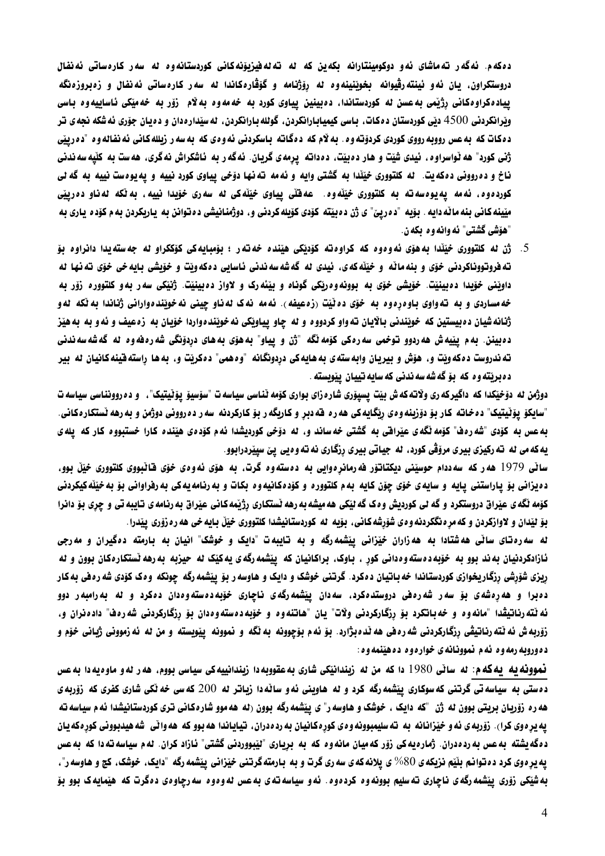دەكەم. ئەگەر تەماشاي ئەو دوكومينتارانە بكەين كە نە تەنەفيزيۆنەكانى كوردستانەوە نە سەر كارەساتى ئەنفال دروستکراون، يان ئهو ئينتهرڤيوانه يخوٽنينهوه له روَژْنامه و گوَڤارەکاندا له سهر کارەساتی ئهنفال و زەبروزەنگه يياده کراوه کانی رژيمی به عسن له کوردستاندا، دهبينين يياوی کورد به خهمه وه به لام زوّر به خهميکی ئاساييه وه باسی ویرانکردنی 4500 دیّی کوردستان دهکات. باسی کیمیابارانکردن، گولله بارانکردن، له سیّدارهدان و دهیان جوّری ئه شکه نجه ی تر ده کات که به عس رووبه رووی کوردی کردۆته وه . به لام که دمگاته باسکردنی ئه وهی که به سه ر زبلله کانی ئه نفاله وه "ده رییّی ژنی کورد" هه نّواسراوه ، ئیدی شیّت و هار دهبیّت، دهداته یرمهی گریان. ئهگه ر به ئاشکراش نهگری، ههست به کلّیه سه ندنی ناخ و ده روونی دهکهیت. له کلتووری خیّلدا به گشتی وایه و ئه مه ته نها دوّخی پیاوی کورد نییه و یه یوهست نییه به گه لی کوردهوه، ئه مه یه یوه سه ته به کلتووری خیّنه وه. عه فنّی پیاوی خیّنه کی له سه ری خوّیدا نییه، به نّکه له ناو ده رییّی مِيّينه کاني بنه ماٽه دايه . بِوّيه "د ەرييّ" ي ژن د ەبيّته کوّدي کوّيله کردني و، دوژمنانيشي د ەتوانن به ياريکردن به م کوّد ه ياري به "هۆشى گشتى" ئە وانە و ە بكەن.

5. ژن له کلتووری خێڵدا به هوّی ئه وه وه که کراوه ته کودیکی هیّنده خه ته ر ؛ بوّمبایه کی کوّککراو له جه سته یدا دانراوه بوّ ته فروتووناکردنی خوّی و بنه مانّه و خیّنّه که ی، ئیدی له گه شه سه ندنی ئاسایی دهکه ویّت و خوّیشی بایه خی خوّی ته نها له داويني خوّيدا دهيبنيّت. خوّيشي خوّي به بوونه<code>و</code>دريکي گوناه و بيّنُه رک و لاواز دهيبنيّت. ژنيکي سه ر به و کلتووره زوّر به خه مساردی و به ته واوی باوه ره وه به خوّی ده نّیت (زه عیفه). نه مه نه ک له ناو چینی نه خویّنده وارانی ژناندا به نکه له و ژنانه شيان ده بيستين كه خويندني بالايان ته واو كردووه و له چاو پياويكي نه خوينده واردا خويان به زه عيف و ئه و به به هيز دهبينن. بهم پێيهش هه ردوو توخمي سه رهکي کۆمه ٽگه "ژن و پياو" به هۆي به هاي دردۆنگي شه رهفه وه له گه شه سه ندني ته ندروست دهکه ويّت و، هوّش و بيريان وابه سته ی به هايه کی دردونگانه "وه همی" ده کريّت و، به ها راسته قينه کانيان له بير ده بریته وه که بوّ گه شه سه ندنی که سایه تپیان پیویسته .

دوژمن له دوْخِيْكدا كه داگيركه ري ولاته كه ش بيّت يسيوْري شاره زاي بواري كوّمه نّناسي سياسه ت "سوّسيوْ يوْنيتيك"، و ده روونناسي سياسه ت "سايكۆ يۆٽيتيك" دەخاتە كار بۆ دۆزبنەوەي رېگايەكى ھەرە قەدبر و كاريگەر بۆ كاركردنە سەر دەروونى دوژمن و بەرھە ٽستكارەكانى. به عس به کوّدی "شه رهف" کوّمه نگه ی عیّرافتی به گشتی خه ساند و، له دوّخی کوردیشدا ئهم کوّدهی هیّنده کارا خستبووه کار که یله ی يه که مي له ته رکيزي بيري مروّڤي کورد ، له جياتي بيري ڕزگاري نه ته و ه يي پيّ سپِيّردرابوو .

ساٽي 1979 هه رکه سه ددام حوسێني ديکتاتور فه رمانړهوايي به دهستهوه گرت، به هوّي ئهوهي خوّي فاٽبووي کلتووري خێڵ بوو، ده يزاني بوّ ياراستني يايه و سايهﺉ خوّي چوّن کايه بهم کلتووره و کوّدهکانيهوه بکات و به رنامه يه کي به رفراواني بوّ به خێڵه کيکردني کۆمه نگه ی عیّراق دروستکرد و گه لی کوردیش وهک گه لیّکی هه میشه به رهه نستکاری رژیمه کانی عیّراق به رنامه ی تایبه تی و چری بوّ دانرا بِوْ لِيِّدانِ و لاوازکردن و که مر دنگکردنه و دی شۆرشه کانی، بِوِّيه له کوردستانيشدا کلتووری خَيْلْ بِايه خی هه ره زۆری ييّدرا .

له سه رهتای سانّی ههشتادا به هه زاران خیّزانی پیّشمه رگه و به تایبهت "دایک و خوشک" انیان به بارمته دهگیران و مه رجی ئازادکردنیان به ند بوو به خوّبه دهسته وهدانی کور ، باوک، براکانیان که پیشمه رگه ی یه کیّک له حیزبه به رهه نستکارهکان بوون و له ریزی شوّرشی رزگاریخوازی کوردستاندا خه باتیان دهکرد. گرتنی خوشک و دایک و هاوسه ر بوّ پیّشمه رگه چونکه وهک کوّدی شه ره فی به کار دهبرا و ههرهشهی بِوّ سهر شهرهفی دروستدهکرد، سهدان ییشمهرگهی ناچاری خوّبهدهستهوهدان دهکرد و نه بهرامبهر دوو ئه نّته رناتیڤدا "مانه وه و خه باتکرد بوّ رِزگارکردنی ولاّت" یان "هاتنه وه و خوّبه دهسته وهدان بوّ رِزگارکردنی شه رهف" دادهنران و، زوّربه ش ئه ٽته رناتيڤي رزگارکردني شه ره في هه ٽده بژارد. بوّ ئه م بوّچوونه به ٽگه و نموونه پيّويسته و من له ئه زمووني ژياني خوّم و ده وروبه رمه وه نه م نموونانه ي خواره وه ده هينغه وه :

نموونه يه يه كه م: له ساٽي 1980 دا كه من له زيندانيَكي شاري به عقووبه دا زيندانييه كي سياسي بووم، هه ر له و ماوهيه دا به عس ده ستی به سیاسه تی گرتنی که سوکاری ییّشمه رگه کرد و له هاوینی ئه و سانّه دا زیاتر له 200 که سی خه نّکی شاری کفری که زوّربه ی هه ره زوّریان بریتی بوون له ژن "که دایک ، خوشک و هاوسه ر" ی پیشمه رگه بوون (له هه موو شارهکانی تری کوردستانیشدا ئه م سیاسه ته يه يړهوی کرا). زوّرېه ی ئه و خێزانانه به ته سليمبوونه وه یکوړه کانيان به رده دراڼ، تياياندا هه بوو که هه واٽی شه هيدبوونی کوړه که يان دهگهیشته به عس به ردهدران. ژمارهیهکی زوّر که میان مانه وه که به بریاری "نیّبووردنی گشتی" ئازاد کران. نهم سیاسه ته دا که به عس يه يرهوي كرد ده توانم بِلَيْم نزيكه ي 80% ي يلانه كه ي سه ري گرت و به بارمته گرتني خِيْزاني پيشمه رگه "دايک، خوشک، كچ و هاوسه ر"، به شیکی زوّری ییشمه رگه ی ناچاری ته سلیم بوونه وه کرده وه. ئه و سیاسه ته ی به عس له وه وه سه رچاوه ی دهگرت که هیمایه ک بوو بوّ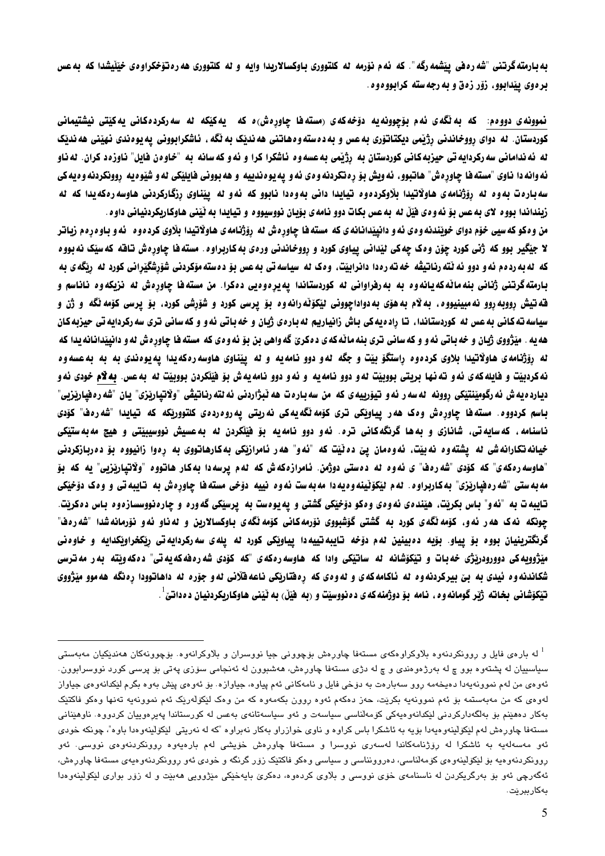به بارمته گرتنی "شه ره فی پیشمه رگه ". که ئه م نوّرمه له کلتووری باوکسالاریدا وایه و له کلتووری هه ره توّخکراوهی خیّلیشدا که به عس برهوی پیدابوو، رُوِّر رُمق و به رجه سته کرابوو موه.

نموونه ي دووهم: که به نگه ي ئهم بۆچوونه په دۆخهکه ي (مسته فا چاورهش) ه که ه په کێکه له سه رکرد مکانی په کێتی نيشتيمانی کوردستان. له دوای رووخاندنی رژیمی دیکتاتوری به عس و به دهسته و هاتنی هه ندیک به نگه ، ناشکرابوونی یه یوه ندی نهینی هه ندیک له ئه ندامانی سه رکردایه تی حیزبه کانی کوردستان به رژیمی به عسه وه ئاشکرا کرا و ئه و که سانه به "خاوهن فایل" ناوزهد کران. له ناو ئه وانه دا ناوی "مسته فا چاورهش" هاتبوو، ئه ویش بوّ ره تکردنه و ه ی ی ی ی یوه ندییه و هه بوونی فایلیکی له و شیّوه یه روونکردنه و دیه کی سه بارهت به وه نه روّژنامه ی هاولاتیدا بلاوکرده و د تیایدا دانی به وددا نابوو که نه و نه ییّناوی رزگارکردنی هاوسه رهکهیدا که نه زینداندا بووه لای به عس بوّ ئه وه ی فیّل له به عس بکات دوو نامه ی بوّیان نووسیووه و تپایدا به نیّنی هاوکاریکردنیانی داوه

من وهکو که سیی خوّم دوای خویندنه وهی ئه و دانییّدانانه ی که مسته فا چاورهش له روّژنامه ی هاولّاتیدا بلّاوی کردهوه گه و باوه رهم زیاتر لا جيگير بوو که ژنی کورد چوّن وهک چهکی ليّدانی پياوی کورد و رِووخاندنی ورهی بهکاربراوه. مسته فا چاورهش تاقه کهسيّک نه بووه كه نه به ردهم ئه و دوو ئه نته رناتيڤه خه ته ره دا دانراييّت، ومک نه سياسه تي به عس بوّ دهسته مۆکردني شۆرشگيراني كورد نه رنگهي به بارمتهگرتنی ژنانی بنه مانّه که یانه وه به به رفراوانی له کوردستاندا یه پر هوهیی دهکرا. من مسته فا چاورهش له نزیکه وه ناناسم و قه تيش رووبه روو نه مېينيووه ، به لام به هوّي به دواداچووني ليکوّنه رانه وه بوّ پرسي کورد و شوّرشي کورد ، بوّ پرسي کومه نگه و ژن و سیاسه ته کانی به عس له کوردستاندا، تا راده یه کی باش زانیاریم له بارهی ژبان و خه باتی ئه و و که سانی تری سه رکردایه تی حیزبه کان هه په . میّژووی ژبان و خه باتی ئه و و که سانی تری بنه مانه که ی دهکریّ گه واهی بن بوّ ئه وه ی که مسته فا چاورهش له و دانییّدانانه پدا که له روّژنامه ی هاولاتیدا بلاوی کرده وه راستگو بیّت و جگه له و دوو نامه یه و له پیّناوی هاوسه رهکه یدا یه یوهندی به به به عسه وه نه کردبيّت و فايله که ی ئه و ته نها بريتی بووبيّت له و دوو نامه يه و نه و دوو نامه يه ش بوّ فيّلکردن بووبيّت له به عس. **به لام** خودی ئه و دياردەيەش ئەرگومينتيكى روونە ئەسەر ئەو تيۆرييەي كە من سەبارەت ھە ئېژاردنى ئەنتەرناتيڤى "ولاتياريزى" يان "شەرەفياريزيى" باسم کردووه. مستهفا چاورهش ومک ههر پیاویکی تری کومه نگهیهکی نهریتی یهروهردهی کلتووریکه که تیایدا "شهرمف" کودی ناسنامه. که سایه تی، شانازی و به ها گرنگهکانی تره. ئه و دوو نامهیه بو فیلکردن له به عسیش نووسیبیتی و هیچ مه به ستیکی خيانه تکارانه شي له يشته وه نه بيت، ئه وممان ييّ ده ٽيت که "ئه و" هه ر ئامرازيکي بهکارهاتووي به رهوا زانيووه بۆ ده ربازکردني "هاوسه٫دکهی" که کۆدی "شه٫دف" ی ئهوه نه دهستی دوژمن. ئامرازهکهش که نهم پرسهدا بهکار هاتووه "ولاتیارتِرَیی" په که بۆ مه به ستی "شه ره فیاریّزی" به کاربراوه. له م لیّکوّنینه وه یه دا مه به ستّ دُه وه نییه دوّخی مسته فا چاوره ش به تایبه تی و وهک دوّخیّکی تایبه ت به "نُه و" باس بکریت، هیّندهی نُه وهی ومکو دوّخیّکی گشتی و یه یوهست به پرسیّکی گه وره و چاره نووسسازهوه باس دمکریّت. چونکه نهک ههر نهو، کۆمه نگهی کورد به گشتی گۆشبووی نۆرمهکانی کۆمه نگهی باوکسالارین و له ناو نهو نۆرمانهشدا "شهرهف" گرنگترينيان بووه بۆ پياو. بۆيە دەبينين ئەم دۆخە تايبەتييەدا پياوټكى كورد ئە يلەي سەركردايەتى رټكخراوټكدايە و خاوەنى میژوویه کی دوورودریژی خه بات و تیکوشانه له ساتیکی وادا که هاوسه رهکهی "که کودی شه رهفه که یه تی" دهکه ویته به ر مه ترسی شکاندنه وه نیدی به بن بیرکردنه وه له ناکامهکهی و له وهی که رهفتاریکی ناعه فلّانی له و جوّره له داهاتوودا رهنگه هه موو میّژووی تيْكَوْشَاني يخاته ژْتر گومانه وه . نامه يو دوژمنه كه ي د دنووسيّت و ربه فيّلْ) به نْيْني هاوكاريكردنيان د دداتي ٔ

<sup>&</sup>lt;sup>1</sup> له بارەی فایل و روونکردنەوە بلاوکراوەکەی مستەفا چاورەش بۆچوونی جیا نووسران و بلاوکرانەوە. بۆچوونەکان ھەندێکیان مەبەست*ى* سڀاسڀيان له پشتهوه بوو ۽ له بهرژهوهندي و ۽ له دژي مستهفا چاورهش، ههشبوون له ئهنجامي سۆزي پهتي بۆ پرسي کورد نووسرابوون. ئەوەي من لەم نموونەيەدا دەيخەمە روو سەبارەت بە دۆخى فايل و نامەكانى ئەم پياوە، جياوازە. بۆ ئەوەي پێش بەوە بگرم لێكدانەوەي جياواز لهوهي که من مهبهستمه بۆ ئەم نموونەيە بکرێت، حەز دەکەم ئەوە روون بکەمەوە کە من وەک لێکۆلەرێک ئەم نموونەيە تەنھا وەکو فاکتێک بەكار دەھێنم بۆ بەلگەداركردنى لێكدانەوەيەكى كۆمەلناسى سياسەت و ئەو سياسەتانەي بەعس لە كورستاندا پەيرەوييان كردووە. ناوھێنانى مستهفا چاوردش لهم لێکۆلینەوەیەدا بۆیە بە ئاشکرا باس کراوە و ناوی خوازراو بەکار نەبراوە "کە لە نەریتى لێکۆلینەوەدا باوە"، چونکە خودی ئەو مەسەلەيە بە ئاشكرا لە رۆژنامەكاندا لەسەرى نووسرا و مستەفا چاورەش خۆيشى لەم بارەيەوە روونكردنەوەى نووسى. ئەو ړوونکردنهوهیه بۆ لێکۆلینهوهۍ کۆمەلناسى، دەروونناسى و سیاسى وەکو فاکتێک زۆر گرنگه و خودى ئەو ړوونکردنهوەیەي مستەفا چاوړەش، ئهگەرچی ئەو بۆ بەرگریکردن لە ناسنامەی خۆی نووسی و بلاوی کردەوە، دەکریّ بايەخێکی مێژوویی ھەبێت و لە زۆر بواری لێکۆلینەوەدا بەكاربېرێت.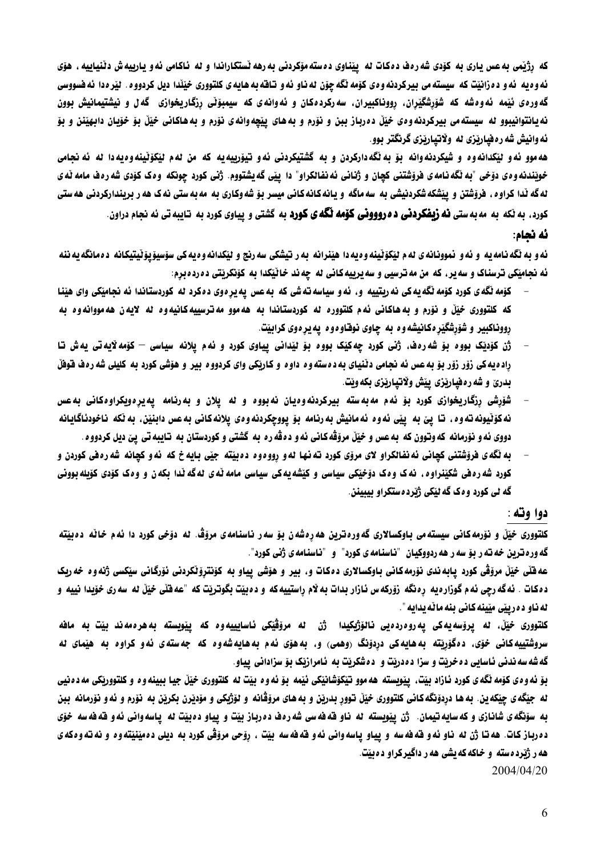كه رژيمي به عس ياري به كۆدي شه رەف دەكات له ييناوي دەستەمۆكردنى به رهه نستكاراندا و له ئاكامي ئه و يارىيەش دٽنياييه ، هۆي ئه وهيه ئه و ده زانيّت كه سيسته مي بيركردنه وهي كوّمه نگه چوّن له ناو ئه و تاقه به هايه ي كلتووري خيّلدا ديل كردووه. ليّر ددا ئه فسووسي گه ورهی ئیمه ئه وهشه که شۆرشگیران، رووناکبیران، سه رکردهکان و ئه وانهی که سیمبوّنّی رزگاریخوازی گه ل و نیشتیمانیش بوون نه پانتوانیبوو نه سیسته می بیرکردنه وهی خیّلْ ده رباز ببن و نوّرم و به های پیّچه وانهی نوّرم و به هاکانی خیّلْ بوّ خوّیان دابهیّنن و بوّ ئه وانیش شه ر ه فیارتزی له ولاتیارتزی گرنگتر بوو .

هه موو ئه و نيکدانه وه و شيکردنه وانه بو به نگه دارکردن و به گشتيکردني ئه و تيوّرييه يه که من نه م نيکوّنينه وه يه دا نه ئه نجامي خویندنه وهی دوّخی "به نگه نامه ی فروشتنی کچان و ژنانی ئه نفائکراو" دا پیّی گه یشتووم. ژنی کورد چونکه وهک کودی شه ره ف مامه نّه ی له گه نّدا کراوه ، فروّشتن و پیشکه شکردنیشی به سه ماگه و پانه کانه کانی میسر بوّ شه وکاری به مه به ستی نه ک هه ر بریندارکردنی هه ستی کورد، به نکه به مه به *ستی* **نه زیفکردنی ده رووونی کوّمه نگه ی کورد** به گشتی و پیاوی کورد به تایبه تی نه نجام دراون.

## ئه نجام:

ئه و به نگه نامه به و ئه و نموونانه ي له م ليكوِّنينه و ه يه دا هيِّنرانه به رتيشكي سه رنج و ليكدانه و ديه كي سوّسيوّيوّليتيكانه د ممانگه يه ننه ئه نجامیکی ترسناک و سه پر، که من مه ترسیی و سه پرییه کانی له چه ند خانیکدا به کونکریتی ده رده برم:

- کوّمه نگهی کورد کوّمه نگه یه کی نه ریتییه و، ئه و سیاسه ته شی که به عس یه پرهوی دهکرد له کوردستاندا ئه نجامیکی وای هیّنا که کلتووری ختِلّ و نوّرم و به هاکانی نهم کلتووره نه کوردستاندا به هه موو مه ترسییه کانیه وه نه لایه ن هه مووانه وه به رووناکبير و شۆرشگير دکانيشه و ه به چاوي نوفاو دو ه په پر دوي کرابيّت.
- ژن کۆدێک بووه بۆ شەرەف، ژنی کورد چەکێک بووه بۆ لێدانی ییاوی کورد و ئەم یلانه سیاسی کۆمەلاّیەتی یەش تا راده یه کی زوّر زوّر بوّ به عس ئه نجامی دٽنیای به دهسته وه داوه و کاریکی وای کردووه بیر و هوّشی کورد به کلیلی شه رهف فوفلّ بدريّ و شه ره فياريّزي ييّش ولاتياريّزي بكه ويّت.
- شورشی رزگاریخوازی کورد بو ئهم مهبهسته بیرکردنه<code>ومی</code>ان نهبووه و نه یلان و به<code>رنامه یه</code>یره<code>ویکراومکانی به عس</code> نه کۆٽيونه ته وه ، تا يێ به يێي ئه وه ئه مانيش به رنامه بۆ يووچکردنه وهي يلانه کاني به عس دابِنێن، به ٽکه ناخودئاگايانه دووي ئه و نۆرمانه که وتوون که به عس و خێڵ مرۆڤه کاني ئه و د ەڤه ره به گشتي و کوردستان به تايبه تي يێ ديل کردووه
- به نگه ی فروشتنی کچانی ئه نفالکراو لای مروّی کورد ته نها له و رووهوه دهبیّته جیّی بایه خ که ئه و کچانه شه ره فی کوردن و کورد شه ره فی شکینراوه ، نه ک وهک دوّخیکی سیاسی و کیشه یه کی سیاسی مامه نّه ی نه گه نّدا بکه ن و وهک کوّدی کویله بوونی گه لي کورد و هک گه ليکي ژيرده ستکراو بيبينن.

### دوا وته :

کلتووری خیّل و نۆرمەکانی سیستەمی باوکسالاری گەورەترین ھەرەشەن بۆ سەر ناسنامەی مرۆڤ. لە دۆخی کورد دا ئەم خالە دەبیتە گه ور ه ترین خه ته ریو سه رهه ردووکیان "ناسنامه ی کورد" و "ناسنامه ی ژنی کورد".

عه فلّی خیّل مروّقی کورد پابه ندی نوّرمه کانی باوکسالاری دمکات و. بیر و هوّشی پیاو به کوّنتروّنکردنی نوّرگانی سیکسی ژنه وه خه ریک دمکات . ئهگه رچی ئهم گوزارمیه رِمنگه زوّرکهس ئازار بدات به لام راستییهکه و دمبیّت بگوتریّت که "عه فنّی خیّلٌ له سه ری خوّیدا نییه و له ناو د دريتي مێينه کاني بنه ماڻه بدايه ".

كلتووري خيّلْ، له پرۆسەيەكى يەروەردەيى نائۆژىكيدا ژن له مرۆقىكى ئاسايييەوە كە ييويستە بەھرەمەند بيّت بە مافە سروشتییه کانی خوّی، دهگورنته به هایه کی دردونگ (وهمی) و، به هوّی ئه م به هایه شه وه که جه سته ی نه و کراوه به هیّمای نه گه شه سه ندنی ناسایی ده خریت و سزا دهدریت و ده شکریت به نامرازیک بو سزادانی ییاو.

بۆ ئەوەي كۆمە ئگەي كورد ئازاد بيت، ييويسته هەموو تيكۆشانيكي ئيمه بۆ ئەوە بيت له كلتووري خيلّ جيا ببينهوه و كلتووريكي مەدەنيي له جێِگه ي چێِکه ين. به ها دردو٘نگه کاني کلتووري خێڵ توور بدرێن و به هاي مروّڤانه و لوّژيکي و موّدێرن بکرێن به نوّرم و ئه و نوّرمانه ببن به سوّنگه ی شانازی و که سایه تیمان. (ن ییّویسته له ناو قه فه سی شه رهف ده رباز بیّت و ییاو دهبیّت له یاسه وانی ئه و قه فه سه خوّی ده رباز كات. هه تا ژن له ناو ئه و قه فه سه و پياو ياسه واني ئه و قه فه سه بيّت ، روّحي مروّقي كورد به ديلي ده مينيّته وه و نه ته وهكه ي هه ر ژنرده سته و خاکه که بشی هه ر داگیر کراو ده بنت.

2004/04/20